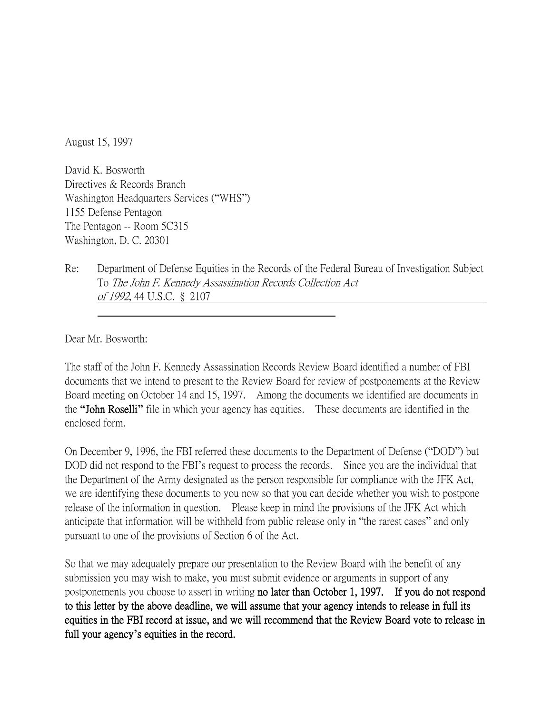August 15, 1997

David K. Bosworth Directives & Records Branch Washington Headquarters Services ("WHS") 1155 Defense Pentagon The Pentagon -- Room 5C315 Washington, D. C. 20301

Re: Department of Defense Equities in the Records of the Federal Bureau of Investigation Subject To The John F. Kennedy Assassination Records Collection Act of 1992, 44 U.S.C. § 2107

Dear Mr. Bosworth:

The staff of the John F. Kennedy Assassination Records Review Board identified a number of FBI documents that we intend to present to the Review Board for review of postponements at the Review Board meeting on October 14 and 15, 1997. Among the documents we identified are documents in the **"**John Roselli**"** file in which your agency has equities. These documents are identified in the enclosed form.

On December 9, 1996, the FBI referred these documents to the Department of Defense ("DOD") but DOD did not respond to the FBI's request to process the records. Since you are the individual that the Department of the Army designated as the person responsible for compliance with the JFK Act, we are identifying these documents to you now so that you can decide whether you wish to postpone release of the information in question. Please keep in mind the provisions of the JFK Act which anticipate that information will be withheld from public release only in "the rarest cases" and only pursuant to one of the provisions of Section 6 of the Act.

So that we may adequately prepare our presentation to the Review Board with the benefit of any submission you may wish to make, you must submit evidence or arguments in support of any postponements you choose to assert in writing no later than October 1, 1997. If you do not respond to this letter by the above deadline, we will assume that your agency intends to release in full its equities in the FBI record at issue, and we will recommend that the Review Board vote to release in full your agency**'**s equities in the record.